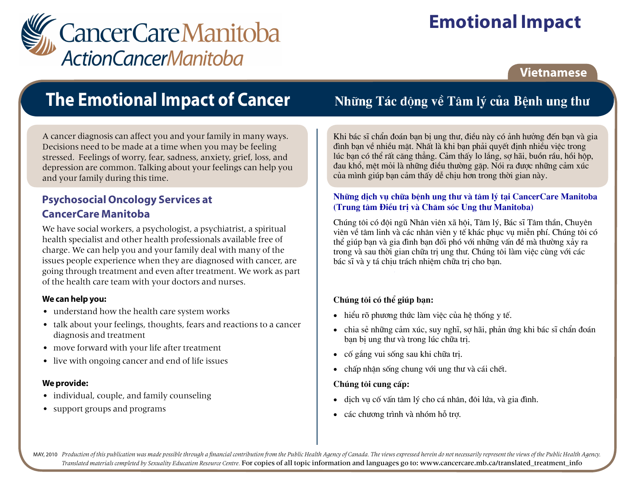

# **Emotional Impact**

### **Vietnamese**

## **The Emotional Impact of Cancer**

A cancer diagnosis can affect you and your family in many ways. Decisions need to be made at a time when you may be feeling stressed. Feelings of worry, fear, sadness, anxiety, grief, loss, and depression are common. Talking about your feelings can help you and your family during this time.

### **Psychosocial Oncology Services at CancerCare Manitoba**

We have social workers, a psychologist, a psychiatrist, a spiritual health specialist and other health professionals available free of charge. We can help you and your family deal with many of the issues people experience when they are diagnosed with cancer, are going through treatment and even after treatment. We work as part of the health care team with your doctors and nurses.

#### We can help you:

- understand how the health care system works
- talk about your feelings, thoughts, fears and reactions to a cancer diagnosis and treatment
- move forward with your life after treatment
- live with ongoing cancer and end of life issues

#### We provide:

- individual, couple, and family counseling
- support groups and programs

Những Tác động về Tâm lý của Bệnh ung thư

Khi bác sĩ chẩn đoán ban bi ung thư, điều này có ảnh hưởng đến ban và gia đình ban về nhiều mặt. Nhất là khi ban phải quyết đinh nhiều việc trong lúc ban có thể rất căng thẳng. Cảm thấy lo lắng, sơ hãi, buồn rầu, hồi hộp, đau khổ, mệt mỏi là những điều thường gặp. Nói ra được những cảm xúc của mình giúp ban cảm thấy dễ chiu hơn trong thời gian này.

#### Những dịch vụ chữa bênh ung thư và tâm lý tai CancerCare Manitoba (Trung tâm Điều tri và Chăm sóc Ung thư Manitoba)

Chúng tôi có đôi ngũ Nhân viên xã hôi, Tâm lý, Bác sĩ Tâm thần, Chuyên viên về tâm linh và các nhân viên y tế khác phục vụ miễn phí. Chúng tôi có thể giúp ban và gia đình ban đối phó với những vấn đề mà thường xảy ra trong và sau thời gian chữa tri ung thư. Chúng tôi làm việc cùng với các bác sĩ và y tá chiu trách nhiêm chữa tri cho ban.

#### Chúng tôi có thể giúp bạn:

- hiểu rõ phương thức làm việc của hệ thống y tế.
- chia sẻ những cảm xúc, suy nghĩ, sơ hãi, phản ứng khi bác sĩ chẩn đoán ban bi ung thư và trong lúc chữa tri.
- cố gắng vui sống sau khi chữa tri.
- chấp nhân sống chung với ung thư và cái chết.  $\bullet$

#### Chúng tôi cung cấp:

- dich vu cố vấn tâm lý cho cá nhân, đôi lứa, và gia đình.  $\bullet$
- các chương trình và nhóm hỗ trơ.

MAY, 2010 Production of this publication was made possible through a financial contribution from the Public Health Agency of Canada. The views expressed herein do not necessarily represent the views of the Public Health Ag Translated materials completed by Sexuality Education Resource Centre. For copies of all topic information and languages go to: www.cancercare.mb.ca/translated\_treatment\_info